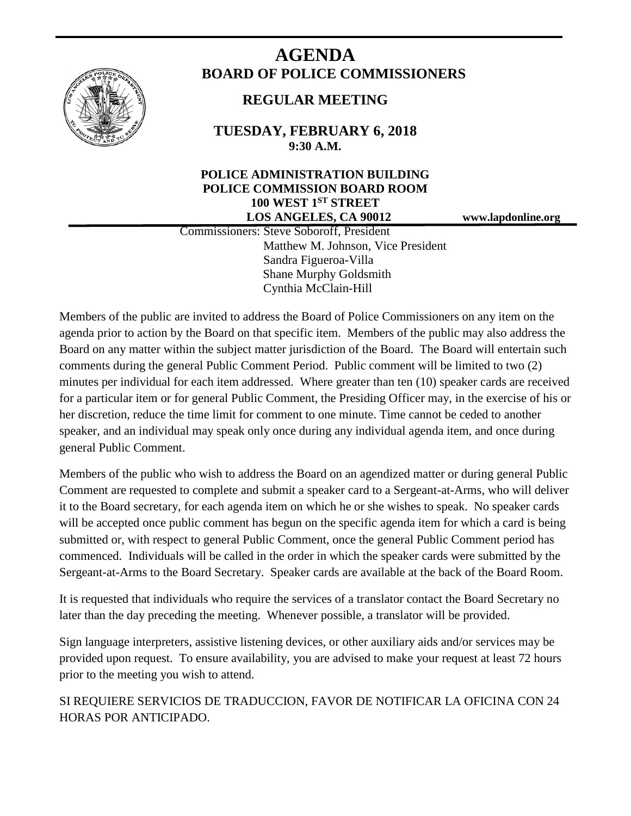

# **AGENDA BOARD OF POLICE COMMISSIONERS**

# **REGULAR MEETING**

**TUESDAY, FEBRUARY 6, 2018 9:30 A.M.**

# **POLICE ADMINISTRATION BUILDING POLICE COMMISSION BOARD ROOM 100 WEST 1ST STREET LOS ANGELES, CA 90012 www.lapdonline.org**

 Commissioners: Steve Soboroff, President Matthew M. Johnson, Vice President Sandra Figueroa-Villa Shane Murphy Goldsmith Cynthia McClain-Hill

Members of the public are invited to address the Board of Police Commissioners on any item on the agenda prior to action by the Board on that specific item. Members of the public may also address the Board on any matter within the subject matter jurisdiction of the Board. The Board will entertain such comments during the general Public Comment Period. Public comment will be limited to two (2) minutes per individual for each item addressed. Where greater than ten (10) speaker cards are received for a particular item or for general Public Comment, the Presiding Officer may, in the exercise of his or her discretion, reduce the time limit for comment to one minute. Time cannot be ceded to another speaker, and an individual may speak only once during any individual agenda item, and once during general Public Comment.

Members of the public who wish to address the Board on an agendized matter or during general Public Comment are requested to complete and submit a speaker card to a Sergeant-at-Arms, who will deliver it to the Board secretary, for each agenda item on which he or she wishes to speak. No speaker cards will be accepted once public comment has begun on the specific agenda item for which a card is being submitted or, with respect to general Public Comment, once the general Public Comment period has commenced. Individuals will be called in the order in which the speaker cards were submitted by the Sergeant-at-Arms to the Board Secretary. Speaker cards are available at the back of the Board Room.

It is requested that individuals who require the services of a translator contact the Board Secretary no later than the day preceding the meeting. Whenever possible, a translator will be provided.

Sign language interpreters, assistive listening devices, or other auxiliary aids and/or services may be provided upon request. To ensure availability, you are advised to make your request at least 72 hours prior to the meeting you wish to attend.

SI REQUIERE SERVICIOS DE TRADUCCION, FAVOR DE NOTIFICAR LA OFICINA CON 24 HORAS POR ANTICIPADO.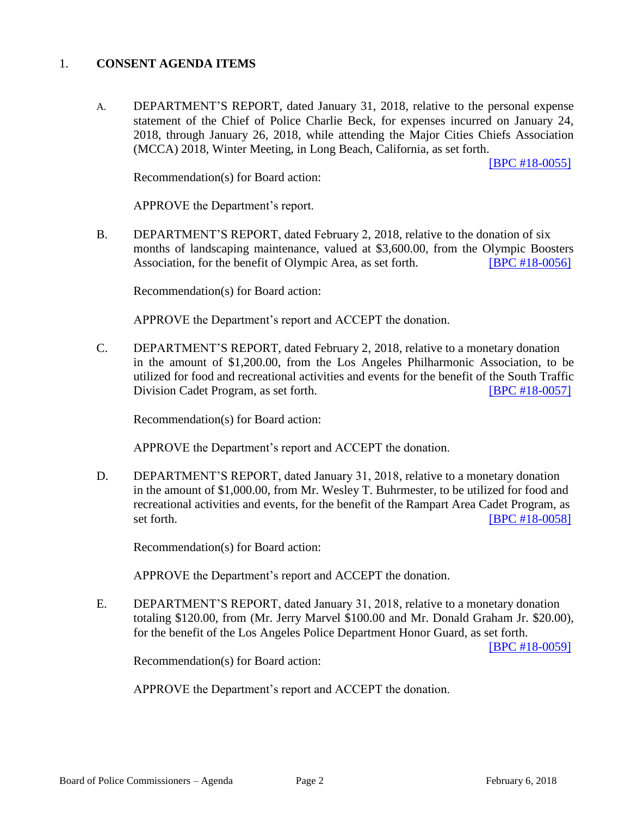#### 1. **CONSENT AGENDA ITEMS**

A. DEPARTMENT'S REPORT, dated January 31, 2018, relative to the personal expense statement of the Chief of Police Charlie Beck, for expenses incurred on January 24, 2018, through January 26, 2018, while attending the Major Cities Chiefs Association (MCCA) 2018, Winter Meeting, in Long Beach, California, as set forth.

[\[BPC #18-0055\]](http://www.lapdpolicecom.lacity.org/020618/BPC_18-0055.pdf)

Recommendation(s) for Board action:

APPROVE the Department's report.

B. DEPARTMENT'S REPORT, dated February 2, 2018, relative to the donation of six months of landscaping maintenance, valued at \$3,600.00, from the Olympic Boosters Association, for the benefit of Olympic Area, as set forth. [\[BPC #18-0056\]](http://www.lapdpolicecom.lacity.org/020618/BPC_18-0056.pdf)

Recommendation(s) for Board action:

APPROVE the Department's report and ACCEPT the donation.

C. DEPARTMENT'S REPORT, dated February 2, 2018, relative to a monetary donation in the amount of \$1,200.00, from the Los Angeles Philharmonic Association, to be utilized for food and recreational activities and events for the benefit of the South Traffic Division Cadet Program, as set forth. [\[BPC #18-0057\]](http://www.lapdpolicecom.lacity.org/020618/BPC_18-0057.pdf)

Recommendation(s) for Board action:

APPROVE the Department's report and ACCEPT the donation.

D. DEPARTMENT'S REPORT, dated January 31, 2018, relative to a monetary donation in the amount of \$1,000.00, from Mr. Wesley T. Buhrmester, to be utilized for food and recreational activities and events, for the benefit of the Rampart Area Cadet Program, as set forth. **IBPC #18-0058]** 

Recommendation(s) for Board action:

APPROVE the Department's report and ACCEPT the donation.

E. DEPARTMENT'S REPORT, dated January 31, 2018, relative to a monetary donation totaling \$120.00, from (Mr. Jerry Marvel \$100.00 and Mr. Donald Graham Jr. \$20.00), for the benefit of the Los Angeles Police Department Honor Guard, as set forth.

[\[BPC #18-0059\]](http://www.lapdpolicecom.lacity.org/020618/BPC_18-0059.pdf)

Recommendation(s) for Board action:

APPROVE the Department's report and ACCEPT the donation.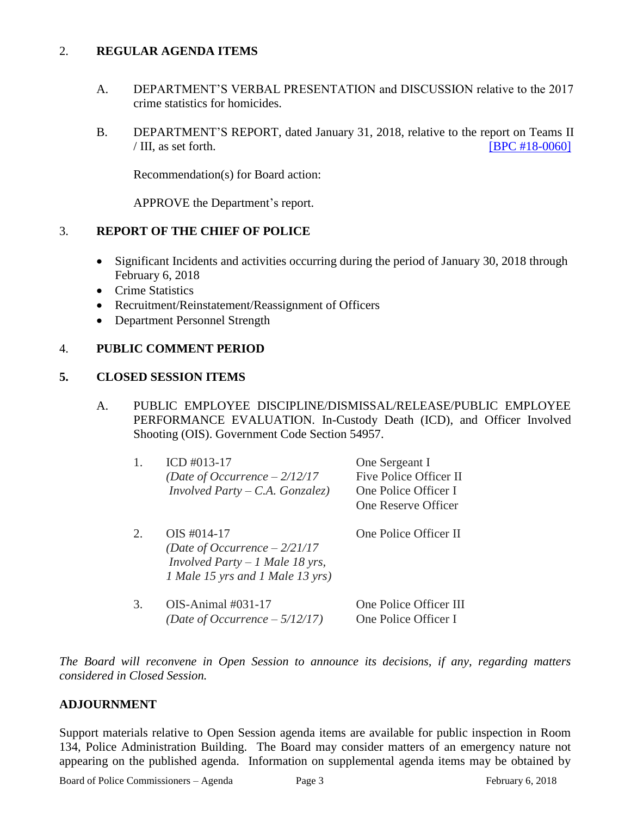## 2. **REGULAR AGENDA ITEMS**

- A. DEPARTMENT'S VERBAL PRESENTATION and DISCUSSION relative to the 2017 crime statistics for homicides.
- B. DEPARTMENT'S REPORT, dated January 31, 2018, relative to the report on Teams II  $/$  III, as set forth. **[\[BPC #18-0060\]](http://www.lapdpolicecom.lacity.org/020618/BPC_18-0060.pdf)**

Recommendation(s) for Board action:

APPROVE the Department's report.

## 3. **REPORT OF THE CHIEF OF POLICE**

- Significant Incidents and activities occurring during the period of January 30, 2018 through February 6, 2018
- Crime Statistics
- Recruitment/Reinstatement/Reassignment of Officers
- Department Personnel Strength

## 4. **PUBLIC COMMENT PERIOD**

#### **5. CLOSED SESSION ITEMS**

A. PUBLIC EMPLOYEE DISCIPLINE/DISMISSAL/RELEASE/PUBLIC EMPLOYEE PERFORMANCE EVALUATION. In-Custody Death (ICD), and Officer Involved Shooting (OIS). Government Code Section 54957.

|    | ICD $#013-17$<br>(Date of Occurrence $-2/12/17$<br><i>Involved Party – C.A. Gonzalez</i> )                                    | One Sergeant I<br>Five Police Officer II<br>One Police Officer I<br>One Reserve Officer |
|----|-------------------------------------------------------------------------------------------------------------------------------|-----------------------------------------------------------------------------------------|
|    | $OIS$ #014-17<br>(Date of Occurrence $-2/21/17$<br><i>Involved Party – 1 Male 18 yrs,</i><br>1 Male 15 yrs and 1 Male 13 yrs) | One Police Officer II                                                                   |
| 3. | OIS-Animal #031-17<br>(Date of Occurrence $-5/12/17$ )                                                                        | One Police Officer III<br>One Police Officer I                                          |

*The Board will reconvene in Open Session to announce its decisions, if any, regarding matters considered in Closed Session.*

#### **ADJOURNMENT**

Support materials relative to Open Session agenda items are available for public inspection in Room 134, Police Administration Building. The Board may consider matters of an emergency nature not appearing on the published agenda. Information on supplemental agenda items may be obtained by

Board of Police Commissioners – Agenda Page 3 February 6, 2018